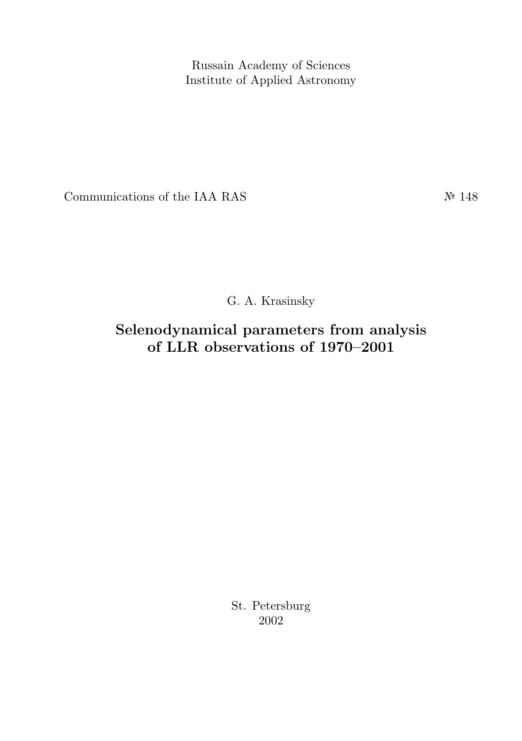Russain Academy of Sciences Institute of Applied Astronomy

Communications of the IAA RAS  $N<sup>2</sup> 148$ 

G. A. Krasinsky

Selenodynamical parameters from analysis of LLR observations of 1970–2001

> St. Petersburg 2002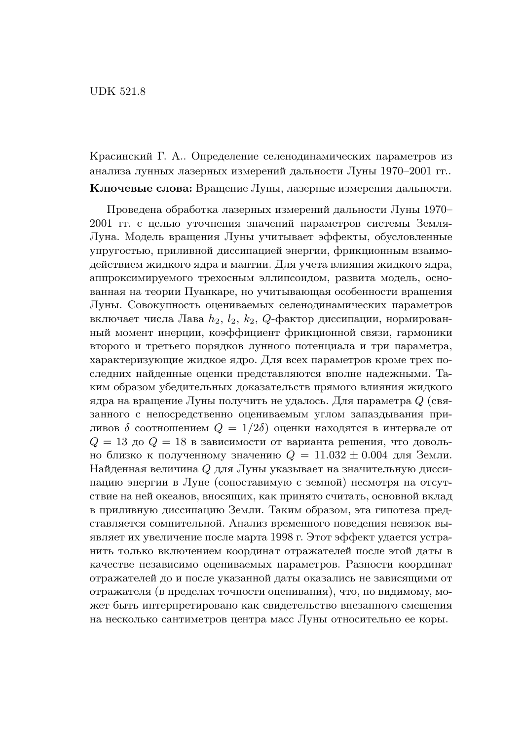Красинский Г. А.. Определение селенодинамических параметров из анализа лунных лазерных измерений дальности Луны 1970–2001 гг.. Ключевые слова: Вращение Луны, лазерные измерения дальности.

Проведена обработка лазерных измерений дальности Луны 1970– 2001 гг. с целью уточнения значений параметров системы Земля-Луна. Модель вращения Луны учитывает эффекты, обусловленные упругостью, приливной диссипацией энергии, фрикционным взаимодействием жидкого ядра и мантии. Для учета влияния жидкого ядра, аппроксимируемого трехосным эллипсоидом, развита модель, основанная на теории Пуанкаре, но учитывающая особенности вращения Луны. Совокупность оцениваемых селенодинамических параметров включает числа Лава  $h_2$ ,  $l_2$ ,  $k_2$ ,  $Q$ -фактор диссипации, нормированный момент инерции, коэффициент фрикционной связи, гармоники второго и третьего порядков лунного потенциала и три параметра, характеризующие жидкое ядро. Для всех параметров кроме трех последних найденные оценки представляются вполне надежными. Таким образом убедительных доказательств прямого влияния жидкого ядра на вращение Луны получить не удалось. Для параметра Q (связанного с непосредственно оцениваемым углом запаздывания приливов  $\delta$  соотношением  $Q = 1/2\delta$  оценки находятся в интервале от  $Q = 13$  до  $Q = 18$  в зависимости от варианта решения, что довольно близко к полученному значению  $Q = 11.032 \pm 0.004$  для Земли. Найденная величина Q для Луны указывает на значительную диссипацию энергии в Луне (сопоставимую с земной) несмотря на отсутствие на ней океанов, вносящих, как принято считать, основной вклад в приливную диссипацию Земли. Таким образом, эта гипотеза представляется сомнительной. Анализ временного поведения невязок выявляет их увеличение после марта 1998 г. Этот эффект удается устранить только включением координат отражателей после этой даты в качестве независимо оцениваемых параметров. Разности координат отражателей до и после указанной даты оказались не зависящими от отражателя (в пределах точности оценивания), что, по видимому, может быть интерпретировано как свидетельство внезапного смещения на несколько сантиметров центра масс Луны относительно ее коры.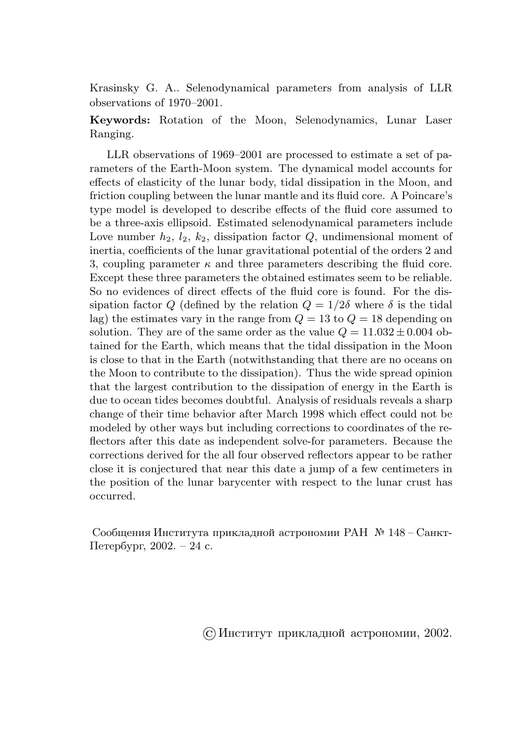Krasinsky G. A.. Selenodynamical parameters from analysis of LLR observations of 1970–2001.

Keywords: Rotation of the Moon, Selenodynamics, Lunar Laser Ranging.

LLR observations of 1969–2001 are processed to estimate a set of parameters of the Earth-Moon system. The dynamical model accounts for effects of elasticity of the lunar body, tidal dissipation in the Moon, and friction coupling between the lunar mantle and its fluid core. A Poincare's type model is developed to describe effects of the fluid core assumed to be a three-axis ellipsoid. Estimated selenodynamical parameters include Love number  $h_2$ ,  $l_2$ ,  $k_2$ , dissipation factor  $Q$ , undimensional moment of inertia, coefficients of the lunar gravitational potential of the orders 2 and 3, coupling parameter  $\kappa$  and three parameters describing the fluid core. Except these three parameters the obtained estimates seem to be reliable. So no evidences of direct effects of the fluid core is found. For the dissipation factor Q (defined by the relation  $Q = 1/2\delta$  where  $\delta$  is the tidal lag) the estimates vary in the range from  $Q = 13$  to  $Q = 18$  depending on solution. They are of the same order as the value  $Q = 11.032 \pm 0.004$  obtained for the Earth, which means that the tidal dissipation in the Moon is close to that in the Earth (notwithstanding that there are no oceans on the Moon to contribute to the dissipation). Thus the wide spread opinion that the largest contribution to the dissipation of energy in the Earth is due to ocean tides becomes doubtful. Analysis of residuals reveals a sharp change of their time behavior after March 1998 which effect could not be modeled by other ways but including corrections to coordinates of the reflectors after this date as independent solve-for parameters. Because the corrections derived for the all four observed reflectors appear to be rather close it is conjectured that near this date a jump of a few centimeters in the position of the lunar barycenter with respect to the lunar crust has occurred.

Сообщения Института прикладной астрономии РАН № 148 – Санкт-Петербург, 2002. – 24 с.

©Институт прикладной астрономии, 2002.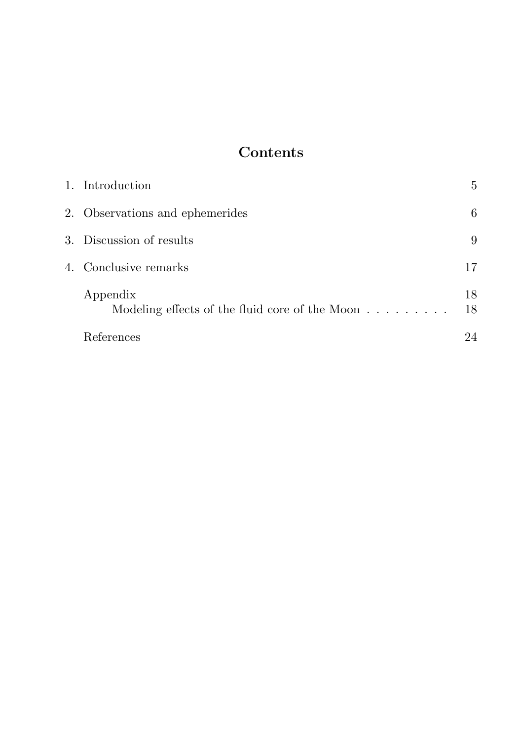# Contents

| 1. Introduction                                                          | 5        |
|--------------------------------------------------------------------------|----------|
| 2. Observations and ephemerides                                          | 6        |
| 3. Discussion of results                                                 | 9        |
| 4. Conclusive remarks                                                    | 17       |
| Appendix<br>Modeling effects of the fluid core of the Moon $\dots \dots$ | 18<br>18 |
| References                                                               | 24       |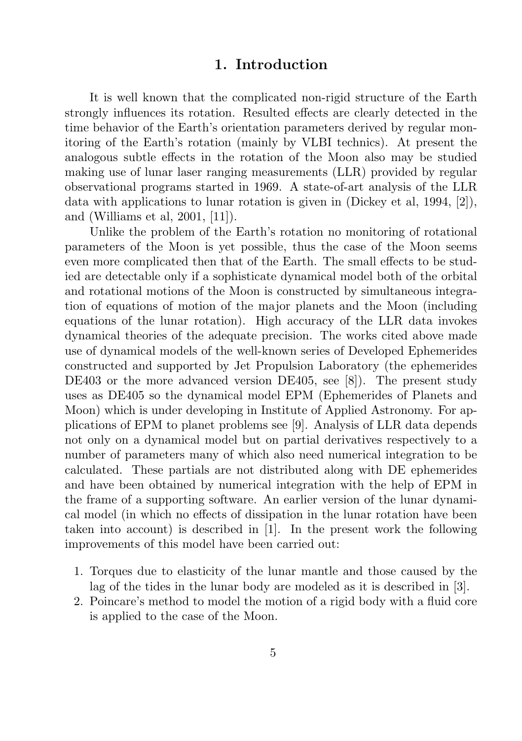#### 1. Introduction

It is well known that the complicated non-rigid structure of the Earth strongly influences its rotation. Resulted effects are clearly detected in the time behavior of the Earth's orientation parameters derived by regular monitoring of the Earth's rotation (mainly by VLBI technics). At present the analogous subtle effects in the rotation of the Moon also may be studied making use of lunar laser ranging measurements (LLR) provided by regular observational programs started in 1969. A state-of-art analysis of the LLR data with applications to lunar rotation is given in (Dickey et al, 1994, [2]), and (Williams et al, 2001, [11]).

Unlike the problem of the Earth's rotation no monitoring of rotational parameters of the Moon is yet possible, thus the case of the Moon seems even more complicated then that of the Earth. The small effects to be studied are detectable only if a sophisticate dynamical model both of the orbital and rotational motions of the Moon is constructed by simultaneous integration of equations of motion of the major planets and the Moon (including equations of the lunar rotation). High accuracy of the LLR data invokes dynamical theories of the adequate precision. The works cited above made use of dynamical models of the well-known series of Developed Ephemerides constructed and supported by Jet Propulsion Laboratory (the ephemerides DE403 or the more advanced version DE405, see [8]). The present study uses as DE405 so the dynamical model EPM (Ephemerides of Planets and Moon) which is under developing in Institute of Applied Astronomy. For applications of EPM to planet problems see [9]. Analysis of LLR data depends not only on a dynamical model but on partial derivatives respectively to a number of parameters many of which also need numerical integration to be calculated. These partials are not distributed along with DE ephemerides and have been obtained by numerical integration with the help of EPM in the frame of a supporting software. An earlier version of the lunar dynamical model (in which no effects of dissipation in the lunar rotation have been taken into account) is described in [1]. In the present work the following improvements of this model have been carried out:

- 1. Torques due to elasticity of the lunar mantle and those caused by the lag of the tides in the lunar body are modeled as it is described in [3].
- 2. Poincare's method to model the motion of a rigid body with a fluid core is applied to the case of the Moon.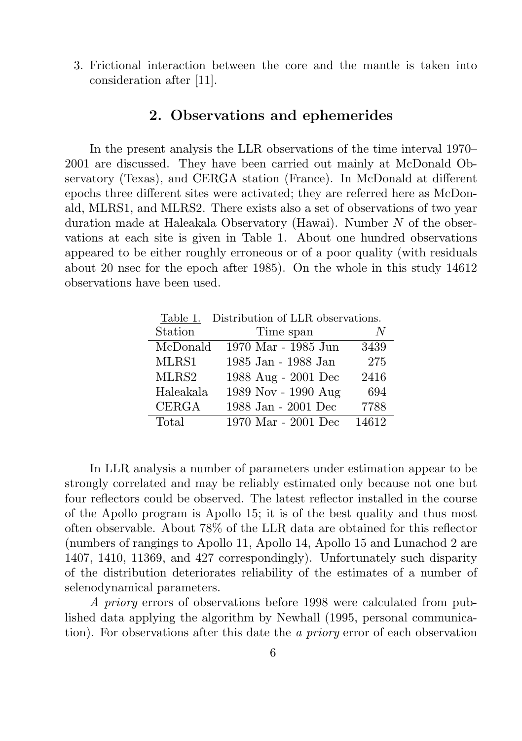3. Frictional interaction between the core and the mantle is taken into consideration after [11].

### 2. Observations and ephemerides

In the present analysis the LLR observations of the time interval 1970– 2001 are discussed. They have been carried out mainly at McDonald Observatory (Texas), and CERGA station (France). In McDonald at different epochs three different sites were activated; they are referred here as McDonald, MLRS1, and MLRS2. There exists also a set of observations of two year duration made at Haleakala Observatory (Hawai). Number N of the observations at each site is given in Table 1. About one hundred observations appeared to be either roughly erroneous or of a poor quality (with residuals about 20 nsec for the epoch after 1985). On the whole in this study 14612 observations have been used.

| Distribution of LLR observations.<br>Table 1. |                         |       |  |  |  |
|-----------------------------------------------|-------------------------|-------|--|--|--|
| Station                                       | Time span               | N     |  |  |  |
| McDonald                                      | 1970 Mar - 1985 Jun     | 3439  |  |  |  |
| MLRS1                                         | 1985 Jan - 1988 Jan     | 275   |  |  |  |
| MLRS2                                         | 1988 Aug - 2001 Dec     | 2416  |  |  |  |
| Haleakala                                     | 1989 Nov - 1990 Aug     | 694   |  |  |  |
| <b>CERGA</b>                                  | $1988$ Jan - $2001$ Dec | 7788  |  |  |  |
| Total                                         | 1970 Mar - 2001 Dec     | 14612 |  |  |  |

In LLR analysis a number of parameters under estimation appear to be strongly correlated and may be reliably estimated only because not one but four reflectors could be observed. The latest reflector installed in the course of the Apollo program is Apollo 15; it is of the best quality and thus most often observable. About 78% of the LLR data are obtained for this reflector (numbers of rangings to Apollo 11, Apollo 14, Apollo 15 and Lunachod 2 are 1407, 1410, 11369, and 427 correspondingly). Unfortunately such disparity of the distribution deteriorates reliability of the estimates of a number of selenodynamical parameters.

A priory errors of observations before 1998 were calculated from published data applying the algorithm by Newhall (1995, personal communication). For observations after this date the a priory error of each observation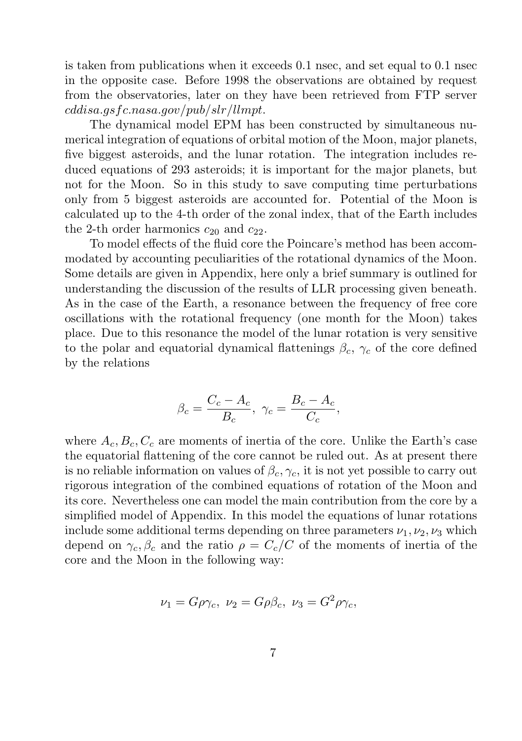is taken from publications when it exceeds 0.1 nsec, and set equal to 0.1 nsec in the opposite case. Before 1998 the observations are obtained by request from the observatories, later on they have been retrieved from FTP server cddisa.gsfc.nasa.gov/pub/slr/llmpt.

The dynamical model EPM has been constructed by simultaneous numerical integration of equations of orbital motion of the Moon, major planets, five biggest asteroids, and the lunar rotation. The integration includes reduced equations of 293 asteroids; it is important for the major planets, but not for the Moon. So in this study to save computing time perturbations only from 5 biggest asteroids are accounted for. Potential of the Moon is calculated up to the 4-th order of the zonal index, that of the Earth includes the 2-th order harmonics  $c_{20}$  and  $c_{22}$ .

To model effects of the fluid core the Poincare's method has been accommodated by accounting peculiarities of the rotational dynamics of the Moon. Some details are given in Appendix, here only a brief summary is outlined for understanding the discussion of the results of LLR processing given beneath. As in the case of the Earth, a resonance between the frequency of free core oscillations with the rotational frequency (one month for the Moon) takes place. Due to this resonance the model of the lunar rotation is very sensitive to the polar and equatorial dynamical flattenings  $\beta_c$ ,  $\gamma_c$  of the core defined by the relations

$$
\beta_c = \frac{C_c - A_c}{B_c}, \ \gamma_c = \frac{B_c - A_c}{C_c},
$$

where  $A_c, B_c, C_c$  are moments of inertia of the core. Unlike the Earth's case the equatorial flattening of the core cannot be ruled out. As at present there is no reliable information on values of  $\beta_c, \gamma_c$ , it is not yet possible to carry out rigorous integration of the combined equations of rotation of the Moon and its core. Nevertheless one can model the main contribution from the core by a simplified model of Appendix. In this model the equations of lunar rotations include some additional terms depending on three parameters  $\nu_1, \nu_2, \nu_3$  which depend on  $\gamma_c$ ,  $\beta_c$  and the ratio  $\rho = C_c/C$  of the moments of inertia of the core and the Moon in the following way:

$$
\nu_1 = G\rho\gamma_c, \ \nu_2 = G\rho\beta_c, \ \nu_3 = G^2\rho\gamma_c,
$$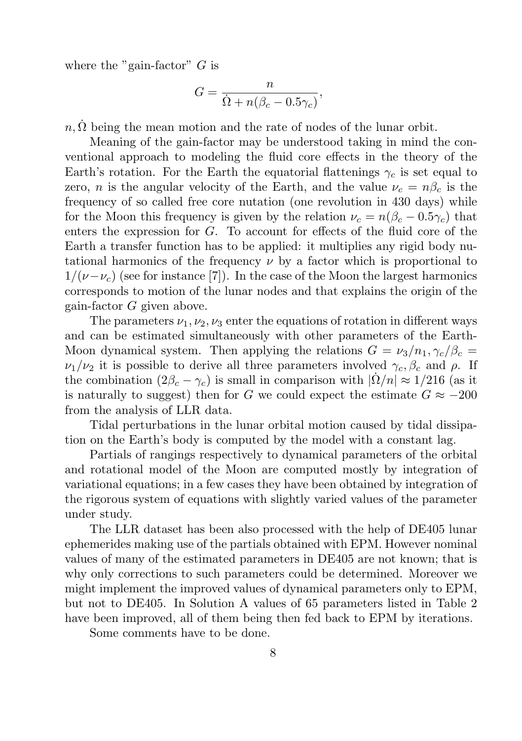where the "gain-factor"  $G$  is

$$
G = \frac{n}{\dot{\Omega} + n(\beta_c - 0.5\gamma_c)},
$$

 $n, \Omega$  being the mean motion and the rate of nodes of the lunar orbit.

Meaning of the gain-factor may be understood taking in mind the conventional approach to modeling the fluid core effects in the theory of the Earth's rotation. For the Earth the equatorial flattenings  $\gamma_c$  is set equal to zero, *n* is the angular velocity of the Earth, and the value  $\nu_c = n\beta_c$  is the frequency of so called free core nutation (one revolution in 430 days) while for the Moon this frequency is given by the relation  $\nu_c = n(\beta_c - 0.5\gamma_c)$  that enters the expression for G. To account for effects of the fluid core of the Earth a transfer function has to be applied: it multiplies any rigid body nutational harmonics of the frequency  $\nu$  by a factor which is proportional to  $1/(\nu-\nu_c)$  (see for instance [7]). In the case of the Moon the largest harmonics corresponds to motion of the lunar nodes and that explains the origin of the gain-factor G given above.

The parameters  $\nu_1, \nu_2, \nu_3$  enter the equations of rotation in different ways and can be estimated simultaneously with other parameters of the Earth-Moon dynamical system. Then applying the relations  $G = \nu_3/n_1, \gamma_c/\beta_c =$  $\nu_1/\nu_2$  it is possible to derive all three parameters involved  $\gamma_c, \beta_c$  and  $\rho$ . If the combination  $(2\beta_c - \gamma_c)$  is small in comparison with  $|\dot{\Omega}/n| \approx 1/216$  (as it is naturally to suggest) then for G we could expect the estimate  $G \approx -200$ from the analysis of LLR data.

Tidal perturbations in the lunar orbital motion caused by tidal dissipation on the Earth's body is computed by the model with a constant lag.

Partials of rangings respectively to dynamical parameters of the orbital and rotational model of the Moon are computed mostly by integration of variational equations; in a few cases they have been obtained by integration of the rigorous system of equations with slightly varied values of the parameter under study.

The LLR dataset has been also processed with the help of DE405 lunar ephemerides making use of the partials obtained with EPM. However nominal values of many of the estimated parameters in DE405 are not known; that is why only corrections to such parameters could be determined. Moreover we might implement the improved values of dynamical parameters only to EPM, but not to DE405. In Solution A values of 65 parameters listed in Table 2 have been improved, all of them being then fed back to EPM by iterations.

Some comments have to be done.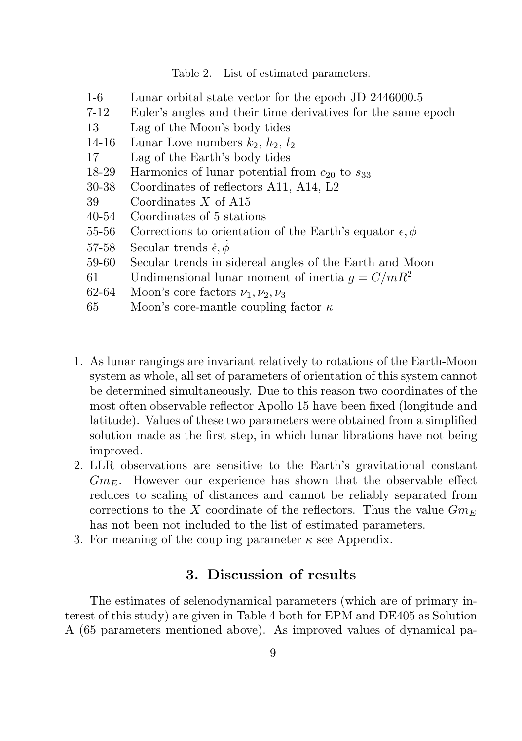Table 2. List of estimated parameters.

| Lunar orbital state vector for the epoch JD 2446000.5              |
|--------------------------------------------------------------------|
| Euler's angles and their time derivatives for the same epoch       |
| Lag of the Moon's body tides                                       |
| Lunar Love numbers $k_2$ , $h_2$ , $l_2$                           |
| Lag of the Earth's body tides                                      |
| Harmonics of lunar potential from $c_{20}$ to $s_{33}$             |
| Coordinates of reflectors A11, A14, L2                             |
| Coordinates $X$ of A15                                             |
| Coordinates of 5 stations                                          |
| Corrections to orientation of the Earth's equator $\epsilon, \phi$ |
| Secular trends $\dot{\epsilon}, \phi$                              |
| Secular trends in sidereal angles of the Earth and Moon            |
| Undimensional lunar moment of inertia $q = C/mR^2$                 |
| Moon's core factors $\nu_1, \nu_2, \nu_3$                          |
| Moon's core-mantle coupling factor $\kappa$                        |
|                                                                    |

- 1. As lunar rangings are invariant relatively to rotations of the Earth-Moon system as whole, all set of parameters of orientation of this system cannot be determined simultaneously. Due to this reason two coordinates of the most often observable reflector Apollo 15 have been fixed (longitude and latitude). Values of these two parameters were obtained from a simplified solution made as the first step, in which lunar librations have not being improved.
- 2. LLR observations are sensitive to the Earth's gravitational constant  $Gm_E$ . However our experience has shown that the observable effect reduces to scaling of distances and cannot be reliably separated from corrections to the X coordinate of the reflectors. Thus the value  $Gm_E$ has not been not included to the list of estimated parameters.
- 3. For meaning of the coupling parameter  $\kappa$  see Appendix.

### 3. Discussion of results

The estimates of selenodynamical parameters (which are of primary interest of this study) are given in Table 4 both for EPM and DE405 as Solution A (65 parameters mentioned above). As improved values of dynamical pa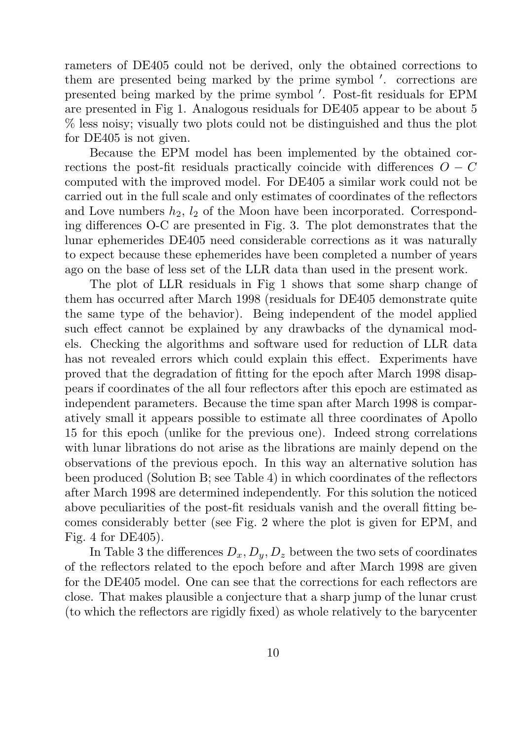rameters of DE405 could not be derived, only the obtained corrections to them are presented being marked by the prime symbol '. corrections are presented being marked by the prime symbol '. Post-fit residuals for EPM are presented in Fig 1. Analogous residuals for DE405 appear to be about 5 % less noisy; visually two plots could not be distinguished and thus the plot for DE405 is not given.

Because the EPM model has been implemented by the obtained corrections the post-fit residuals practically coincide with differences  $O - C$ computed with the improved model. For DE405 a similar work could not be carried out in the full scale and only estimates of coordinates of the reflectors and Love numbers  $h_2$ ,  $l_2$  of the Moon have been incorporated. Corresponding differences O-C are presented in Fig. 3. The plot demonstrates that the lunar ephemerides DE405 need considerable corrections as it was naturally to expect because these ephemerides have been completed a number of years ago on the base of less set of the LLR data than used in the present work.

The plot of LLR residuals in Fig 1 shows that some sharp change of them has occurred after March 1998 (residuals for DE405 demonstrate quite the same type of the behavior). Being independent of the model applied such effect cannot be explained by any drawbacks of the dynamical models. Checking the algorithms and software used for reduction of LLR data has not revealed errors which could explain this effect. Experiments have proved that the degradation of fitting for the epoch after March 1998 disappears if coordinates of the all four reflectors after this epoch are estimated as independent parameters. Because the time span after March 1998 is comparatively small it appears possible to estimate all three coordinates of Apollo 15 for this epoch (unlike for the previous one). Indeed strong correlations with lunar librations do not arise as the librations are mainly depend on the observations of the previous epoch. In this way an alternative solution has been produced (Solution B; see Table 4) in which coordinates of the reflectors after March 1998 are determined independently. For this solution the noticed above peculiarities of the post-fit residuals vanish and the overall fitting becomes considerably better (see Fig. 2 where the plot is given for EPM, and Fig. 4 for DE405).

In Table 3 the differences  $D_x, D_y, D_z$  between the two sets of coordinates of the reflectors related to the epoch before and after March 1998 are given for the DE405 model. One can see that the corrections for each reflectors are close. That makes plausible a conjecture that a sharp jump of the lunar crust (to which the reflectors are rigidly fixed) as whole relatively to the barycenter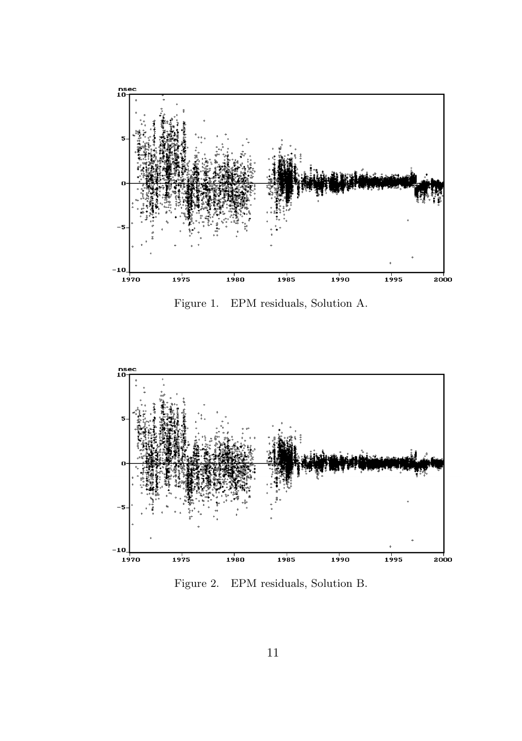

Figure 1. EPM residuals, Solution A.



Figure 2. EPM residuals, Solution B.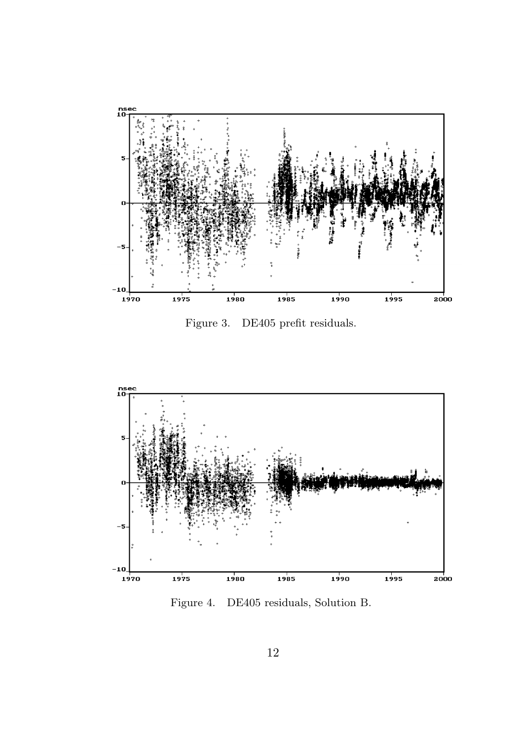

Figure 3. DE405 prefit residuals.



Figure 4. DE405 residuals, Solution B.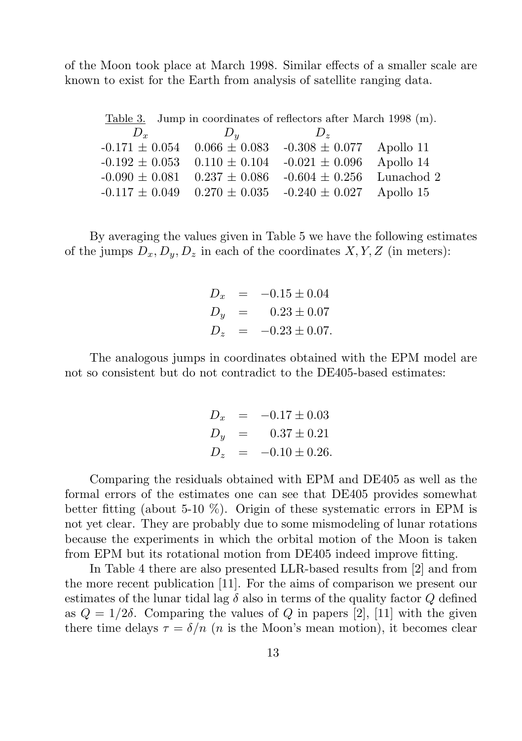of the Moon took place at March 1998. Similar effects of a smaller scale are known to exist for the Earth from analysis of satellite ranging data.

|              | Table 3. Jump in coordinates of reflectors after March 1998 (m).  |                              |            |
|--------------|-------------------------------------------------------------------|------------------------------|------------|
| $D_{\alpha}$ | $D_u$                                                             | $D_{\gamma}$                 |            |
|              | $-0.171 \pm 0.054$ 0.066 $\pm$ 0.083                              | $-0.308 \pm 0.077$ Apollo 11 |            |
|              | $-0.192 \pm 0.053$ 0.110 $\pm$ 0.104                              | $-0.021 \pm 0.096$           | Apollo 14  |
|              | $-0.090 \pm 0.081$ $0.237 \pm 0.086$                              | $-0.604 \pm 0.256$           | Lunachod 2 |
|              | $-0.117 \pm 0.049$ $0.270 \pm 0.035$ $-0.240 \pm 0.027$ Apollo 15 |                              |            |

By averaging the values given in Table 5 we have the following estimates of the jumps  $D_x, D_y, D_z$  in each of the coordinates  $X, Y, Z$  (in meters):

$$
D_x = -0.15 \pm 0.04
$$
  
\n
$$
D_y = 0.23 \pm 0.07
$$
  
\n
$$
D_z = -0.23 \pm 0.07.
$$

The analogous jumps in coordinates obtained with the EPM model are not so consistent but do not contradict to the DE405-based estimates:

$$
D_x = -0.17 \pm 0.03
$$
  
\n
$$
D_y = 0.37 \pm 0.21
$$
  
\n
$$
D_z = -0.10 \pm 0.26.
$$

Comparing the residuals obtained with EPM and DE405 as well as the formal errors of the estimates one can see that DE405 provides somewhat better fitting (about 5-10 %). Origin of these systematic errors in EPM is not yet clear. They are probably due to some mismodeling of lunar rotations because the experiments in which the orbital motion of the Moon is taken from EPM but its rotational motion from DE405 indeed improve fitting.

In Table 4 there are also presented LLR-based results from [2] and from the more recent publication [11]. For the aims of comparison we present our estimates of the lunar tidal lag  $\delta$  also in terms of the quality factor Q defined as  $Q = 1/2\delta$ . Comparing the values of Q in papers [2], [11] with the given there time delays  $\tau = \delta/n$  (*n* is the Moon's mean motion), it becomes clear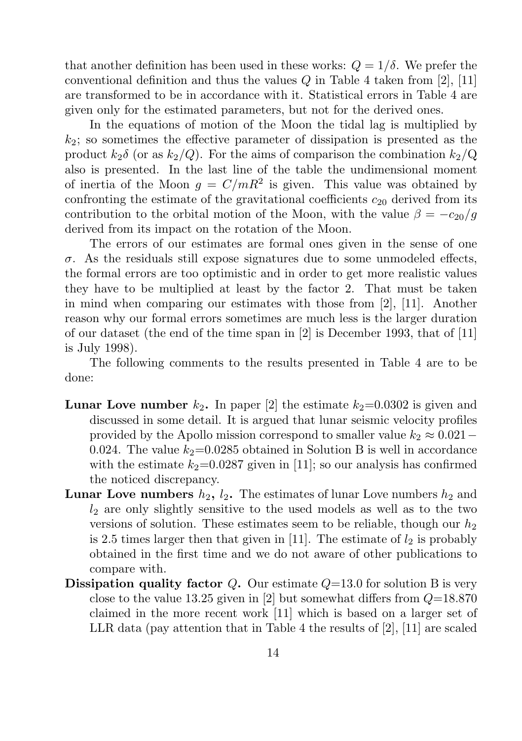that another definition has been used in these works:  $Q = 1/\delta$ . We prefer the conventional definition and thus the values Q in Table 4 taken from [2], [11] are transformed to be in accordance with it. Statistical errors in Table 4 are given only for the estimated parameters, but not for the derived ones.

In the equations of motion of the Moon the tidal lag is multiplied by  $k_2$ ; so sometimes the effective parameter of dissipation is presented as the product  $k_2\delta$  (or as  $k_2/Q$ ). For the aims of comparison the combination  $k_2/Q$ also is presented. In the last line of the table the undimensional moment of inertia of the Moon  $g = C/mR^2$  is given. This value was obtained by confronting the estimate of the gravitational coefficients  $c_{20}$  derived from its contribution to the orbital motion of the Moon, with the value  $\beta = -c_{20}/g$ derived from its impact on the rotation of the Moon.

The errors of our estimates are formal ones given in the sense of one σ. As the residuals still expose signatures due to some unmodeled effects, the formal errors are too optimistic and in order to get more realistic values they have to be multiplied at least by the factor 2. That must be taken in mind when comparing our estimates with those from [2], [11]. Another reason why our formal errors sometimes are much less is the larger duration of our dataset (the end of the time span in [2] is December 1993, that of [11] is July 1998).

The following comments to the results presented in Table 4 are to be done:

- **Lunar Love number**  $k_2$ . In paper [2] the estimate  $k_2=0.0302$  is given and discussed in some detail. It is argued that lunar seismic velocity profiles provided by the Apollo mission correspond to smaller value  $k_2 \approx 0.021$  – 0.024. The value  $k_2$ =0.0285 obtained in Solution B is well in accordance with the estimate  $k_2$ =0.0287 given in [11]; so our analysis has confirmed the noticed discrepancy.
- **Lunar Love numbers**  $h_2$ ,  $l_2$ . The estimates of lunar Love numbers  $h_2$  and  $l_2$  are only slightly sensitive to the used models as well as to the two versions of solution. These estimates seem to be reliable, though our  $h_2$ is 2.5 times larger then that given in [11]. The estimate of  $l_2$  is probably obtained in the first time and we do not aware of other publications to compare with.
- **Dissipation quality factor** Q. Our estimate  $Q=13.0$  for solution B is very close to the value 13.25 given in [2] but somewhat differs from  $Q=18.870$ claimed in the more recent work [11] which is based on a larger set of LLR data (pay attention that in Table 4 the results of [2], [11] are scaled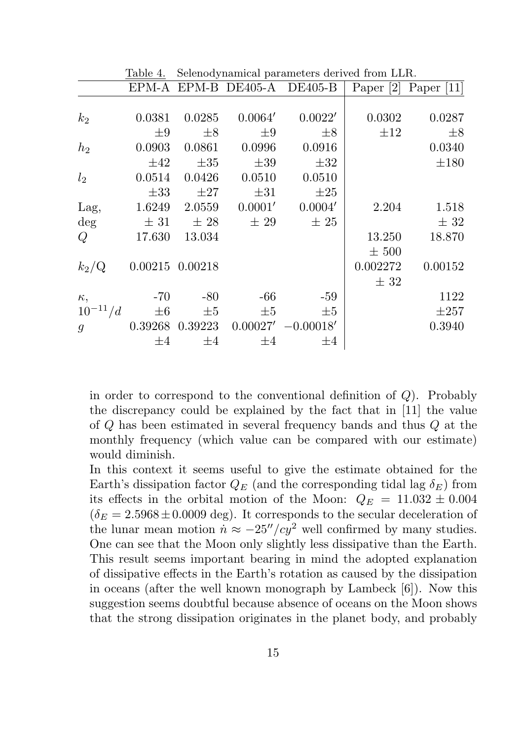|                  | <b>TADIC I.</b> | ocicilou y hamncar parameters uerrited from EER. |          |                             |             |              |
|------------------|-----------------|--------------------------------------------------|----------|-----------------------------|-------------|--------------|
|                  |                 |                                                  |          | EPM-A EPM-B DE405-A DE405-B | Paper $[2]$ | Paper $[11]$ |
|                  |                 |                                                  |          |                             |             |              |
| $k_2$            | 0.0381          | 0.0285                                           | 0.0064'  | 0.0022'                     | 0.0302      | 0.0287       |
|                  | $\pm 9$         | $\pm 8$                                          | $\pm 9$  | $\pm 8$                     | $\pm 12$    | $\pm 8$      |
| h <sub>2</sub>   | 0.0903          | 0.0861                                           | 0.0996   | 0.0916                      |             | 0.0340       |
|                  | $\pm 42$        | $\pm 35$                                         | $\pm 39$ | $\pm 32$                    |             | $\pm 180$    |
| l <sub>2</sub>   | 0.0514          | 0.0426                                           | 0.0510   | 0.0510                      |             |              |
|                  | $\pm 33$        | $\pm 27$                                         | $\pm 31$ | $\pm 25$                    |             |              |
| Lag,             | 1.6249          | 2.0559                                           | 0.0001'  | 0.0004'                     | 2.204       | 1.518        |
| $\deg$           | $\pm$ 31        | $\pm 28$                                         | $\pm 29$ | $\pm 25$                    |             | $\pm$ 32     |
| Q                | 17.630          | 13.034                                           |          |                             | 13.250      | 18.870       |
|                  |                 |                                                  |          |                             | $\pm 500$   |              |
| $k_2/\mathrm{Q}$ |                 | $0.00215$ $0.00218$                              |          |                             | 0.002272    | 0.00152      |
|                  |                 |                                                  |          |                             | $\pm$ 32    |              |
| $\kappa$ ,       | $-70$           | $-80$                                            | -66      | -59                         |             | 1122         |
| $10^{-11}/d$     | $\pm 6$         | $\pm 5$                                          | $\pm 5$  | $\pm 5$                     |             | $\pm 257$    |
| $g_{-}$          |                 | 0.39268 0.39223                                  |          | $0.00027' - 0.00018'$       |             | 0.3940       |
|                  | $\pm 4$         | $\pm 4$                                          | $\pm 4$  | $\pm 4$                     |             |              |

Table 4. Selenodynamical parameters derived from LLR.

in order to correspond to the conventional definition of  $Q$ ). Probably the discrepancy could be explained by the fact that in [11] the value of Q has been estimated in several frequency bands and thus Q at the monthly frequency (which value can be compared with our estimate) would diminish.

In this context it seems useful to give the estimate obtained for the Earth's dissipation factor  $Q_E$  (and the corresponding tidal lag  $\delta_E$ ) from its effects in the orbital motion of the Moon:  $Q_E = 11.032 \pm 0.004$  $(\delta_E = 2.5968 \pm 0.0009 \text{ deg})$ . It corresponds to the secular deceleration of the lunar mean motion  $\dot{n} \approx -25''/cy^2$  well confirmed by many studies. One can see that the Moon only slightly less dissipative than the Earth. This result seems important bearing in mind the adopted explanation of dissipative effects in the Earth's rotation as caused by the dissipation in oceans (after the well known monograph by Lambeck [6]). Now this suggestion seems doubtful because absence of oceans on the Moon shows that the strong dissipation originates in the planet body, and probably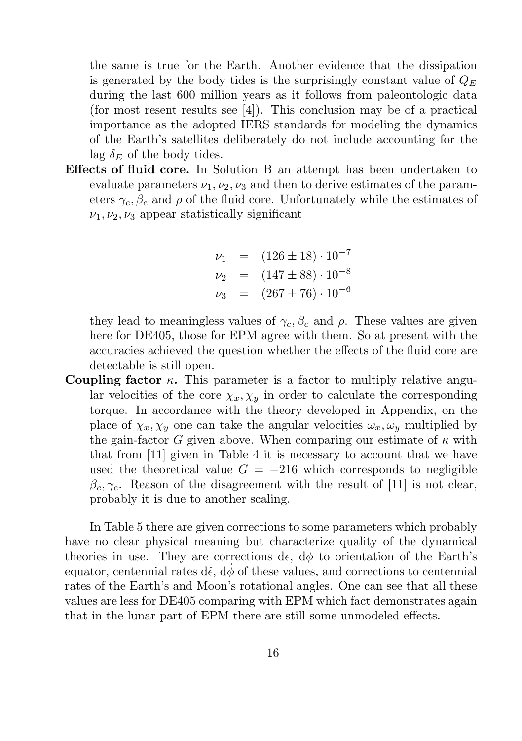the same is true for the Earth. Another evidence that the dissipation is generated by the body tides is the surprisingly constant value of  $Q_E$ during the last 600 million years as it follows from paleontologic data (for most resent results see [4]). This conclusion may be of a practical importance as the adopted IERS standards for modeling the dynamics of the Earth's satellites deliberately do not include accounting for the lag  $\delta_E$  of the body tides.

Effects of fluid core. In Solution B an attempt has been undertaken to evaluate parameters  $\nu_1, \nu_2, \nu_3$  and then to derive estimates of the parameters  $\gamma_c, \beta_c$  and  $\rho$  of the fluid core. Unfortunately while the estimates of  $\nu_1, \nu_2, \nu_3$  appear statistically significant

$$
\nu_1 = (126 \pm 18) \cdot 10^{-7}
$$
  
\n
$$
\nu_2 = (147 \pm 88) \cdot 10^{-8}
$$
  
\n
$$
\nu_3 = (267 \pm 76) \cdot 10^{-6}
$$

they lead to meaningless values of  $\gamma_c$ ,  $\beta_c$  and  $\rho$ . These values are given here for DE405, those for EPM agree with them. So at present with the accuracies achieved the question whether the effects of the fluid core are detectable is still open.

Coupling factor  $\kappa$ . This parameter is a factor to multiply relative angular velocities of the core  $\chi_x, \chi_y$  in order to calculate the corresponding torque. In accordance with the theory developed in Appendix, on the place of  $\chi_x, \chi_y$  one can take the angular velocities  $\omega_x, \omega_y$  multiplied by the gain-factor G given above. When comparing our estimate of  $\kappa$  with that from [11] given in Table 4 it is necessary to account that we have used the theoretical value  $G = -216$  which corresponds to negligible  $\beta_c, \gamma_c$ . Reason of the disagreement with the result of [11] is not clear, probably it is due to another scaling.

In Table 5 there are given corrections to some parameters which probably have no clear physical meaning but characterize quality of the dynamical theories in use. They are corrections de,  $d\phi$  to orientation of the Earth's equator, centennial rates d $\dot{\epsilon}$ ,  $d\dot{\phi}$  of these values, and corrections to centennial rates of the Earth's and Moon's rotational angles. One can see that all these values are less for DE405 comparing with EPM which fact demonstrates again that in the lunar part of EPM there are still some unmodeled effects.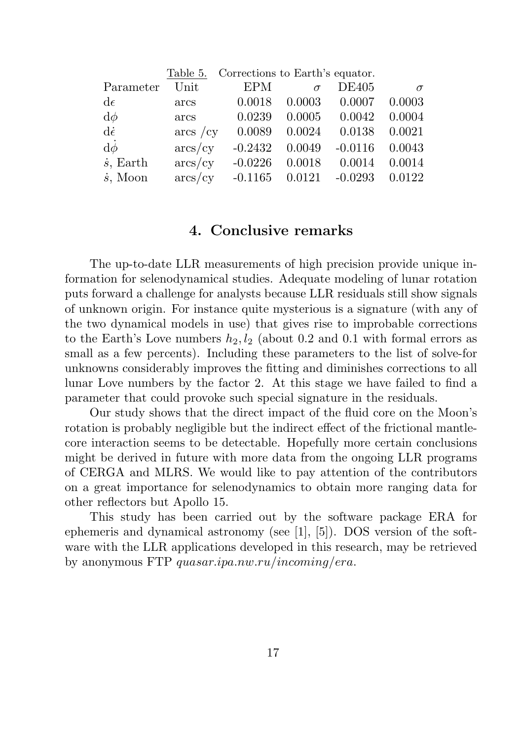|                   | Table 5.    | Corrections to Earth's equator. |          |              |          |
|-------------------|-------------|---------------------------------|----------|--------------|----------|
| Parameter         | Unit        | EPM                             | $\sigma$ | <b>DE405</b> | $\sigma$ |
| $d\epsilon$       | arcs        | 0.0018                          | 0.0003   | 0.0007       | 0.0003   |
| $d\phi$           | arcs        | 0.0239                          | 0.0005   | 0.0042       | 0.0004   |
| $d\dot{\epsilon}$ | $\arcs$ /cy | 0.0089                          | 0.0024   | 0.0138       | 0.0021   |
| $d\dot{\phi}$     | $\arcs/cy$  | $-0.2432$                       | 0.0049   | $-0.0116$    | 0.0043   |
| $\dot{s}$ , Earth | $\arcs/cy$  | $-0.0226$                       | 0.0018   | 0.0014       | 0.0014   |
| $\dot{s}$ , Moon  | $\arcs/cy$  | $-0.1165$                       | 0.0121   | $-0.0293$    | 0.0122   |

### 4. Conclusive remarks

The up-to-date LLR measurements of high precision provide unique information for selenodynamical studies. Adequate modeling of lunar rotation puts forward a challenge for analysts because LLR residuals still show signals of unknown origin. For instance quite mysterious is a signature (with any of the two dynamical models in use) that gives rise to improbable corrections to the Earth's Love numbers  $h_2, l_2$  (about 0.2 and 0.1 with formal errors as small as a few percents). Including these parameters to the list of solve-for unknowns considerably improves the fitting and diminishes corrections to all lunar Love numbers by the factor 2. At this stage we have failed to find a parameter that could provoke such special signature in the residuals.

Our study shows that the direct impact of the fluid core on the Moon's rotation is probably negligible but the indirect effect of the frictional mantlecore interaction seems to be detectable. Hopefully more certain conclusions might be derived in future with more data from the ongoing LLR programs of CERGA and MLRS. We would like to pay attention of the contributors on a great importance for selenodynamics to obtain more ranging data for other reflectors but Apollo 15.

This study has been carried out by the software package ERA for ephemeris and dynamical astronomy (see [1], [5]). DOS version of the software with the LLR applications developed in this research, may be retrieved by anonymous FTP quasar.ipa.nw.ru/incoming/era.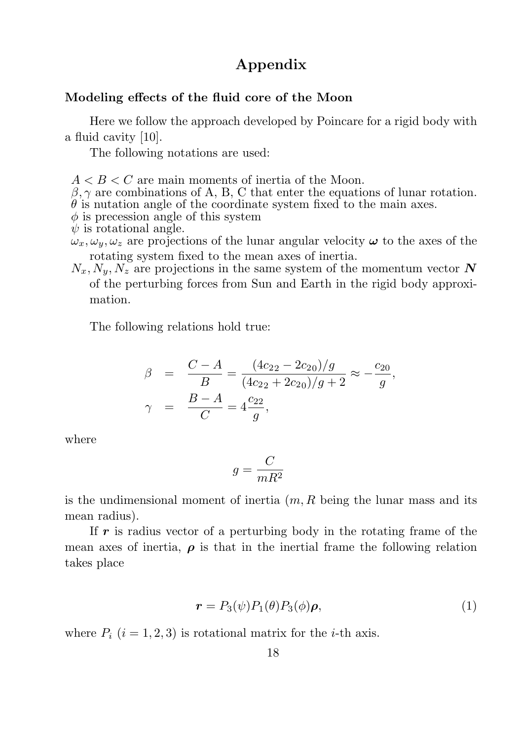## Appendix

#### Modeling effects of the fluid core of the Moon

Here we follow the approach developed by Poincare for a rigid body with a fluid cavity [10].

The following notations are used:

 $A < B < C$  are main moments of inertia of the Moon.

 $\beta, \gamma$  are combinations of A, B, C that enter the equations of lunar rotation.

 $\theta$  is nutation angle of the coordinate system fixed to the main axes.

 $\phi$  is precession angle of this system

 $\psi$  is rotational angle.

- $\omega_x, \omega_y, \omega_z$  are projections of the lunar angular velocity  $\omega$  to the axes of the rotating system fixed to the mean axes of inertia.
- $N_x, N_y, N_z$  are projections in the same system of the momentum vector N of the perturbing forces from Sun and Earth in the rigid body approximation.

The following relations hold true:

$$
\beta = \frac{C - A}{B} = \frac{(4c_{22} - 2c_{20})/g}{(4c_{22} + 2c_{20})/g + 2} \approx -\frac{c_{20}}{g},
$$
  

$$
\gamma = \frac{B - A}{C} = 4\frac{c_{22}}{g},
$$

where

$$
g = \frac{C}{mR^2}
$$

is the undimensional moment of inertia  $(m, R)$  being the lunar mass and its mean radius).

If  $r$  is radius vector of a perturbing body in the rotating frame of the mean axes of inertia,  $\rho$  is that in the inertial frame the following relation takes place

$$
\boldsymbol{r} = P_3(\psi) P_1(\theta) P_3(\phi) \boldsymbol{\rho}, \tag{1}
$$

where  $P_i$   $(i = 1, 2, 3)$  is rotational matrix for the *i*-th axis.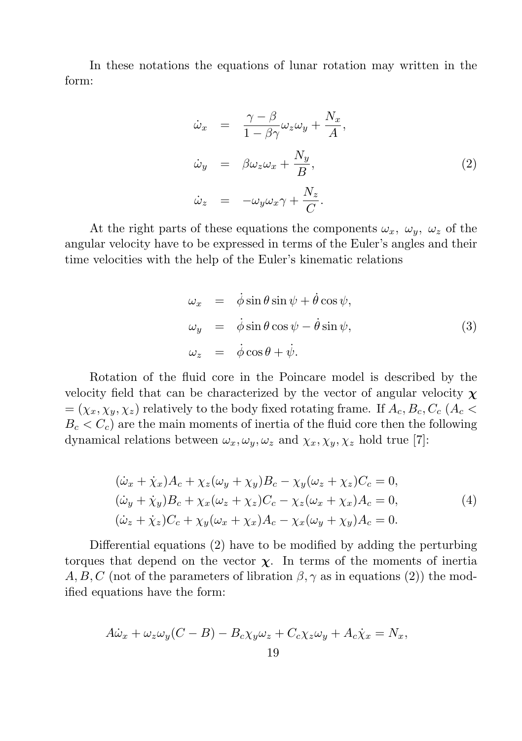In these notations the equations of lunar rotation may written in the form:

$$
\dot{\omega}_x = \frac{\gamma - \beta}{1 - \beta \gamma} \omega_z \omega_y + \frac{N_x}{A},
$$
  
\n
$$
\dot{\omega}_y = \beta \omega_z \omega_x + \frac{N_y}{B},
$$
  
\n
$$
\dot{\omega}_z = -\omega_y \omega_x \gamma + \frac{N_z}{C}.
$$
\n(2)

At the right parts of these equations the components  $\omega_x$ ,  $\omega_y$ ,  $\omega_z$  of the angular velocity have to be expressed in terms of the Euler's angles and their time velocities with the help of the Euler's kinematic relations

$$
\omega_x = \dot{\phi}\sin\theta\sin\psi + \dot{\theta}\cos\psi,\n\omega_y = \dot{\phi}\sin\theta\cos\psi - \dot{\theta}\sin\psi,\n\omega_z = \dot{\phi}\cos\theta + \dot{\psi}.
$$
\n(3)

Rotation of the fluid core in the Poincare model is described by the velocity field that can be characterized by the vector of angular velocity  $\chi$  $=(\chi_x, \chi_y, \chi_z)$  relatively to the body fixed rotating frame. If  $A_c, B_c, C_c$  ( $A_c$  $B_c < C_c$ ) are the main moments of inertia of the fluid core then the following dynamical relations between  $\omega_x, \omega_y, \omega_z$  and  $\chi_x, \chi_y, \chi_z$  hold true [7]:

$$
(\dot{\omega}_x + \dot{\chi}_x)A_c + \chi_z(\omega_y + \chi_y)B_c - \chi_y(\omega_z + \chi_z)C_c = 0,
$$
  
\n
$$
(\dot{\omega}_y + \dot{\chi}_y)B_c + \chi_x(\omega_z + \chi_z)C_c - \chi_z(\omega_x + \chi_x)A_c = 0,
$$
  
\n
$$
(\dot{\omega}_z + \dot{\chi}_z)C_c + \chi_y(\omega_x + \chi_x)A_c - \chi_x(\omega_y + \chi_y)A_c = 0.
$$
\n(4)

Differential equations (2) have to be modified by adding the perturbing torques that depend on the vector  $\chi$ . In terms of the moments of inertia A, B, C (not of the parameters of libration  $\beta$ ,  $\gamma$  as in equations (2)) the modified equations have the form:

$$
A\dot{\omega}_x + \omega_z \omega_y (C - B) - B_c \chi_y \omega_z + C_c \chi_z \omega_y + A_c \dot{\chi}_x = N_x,
$$
  
19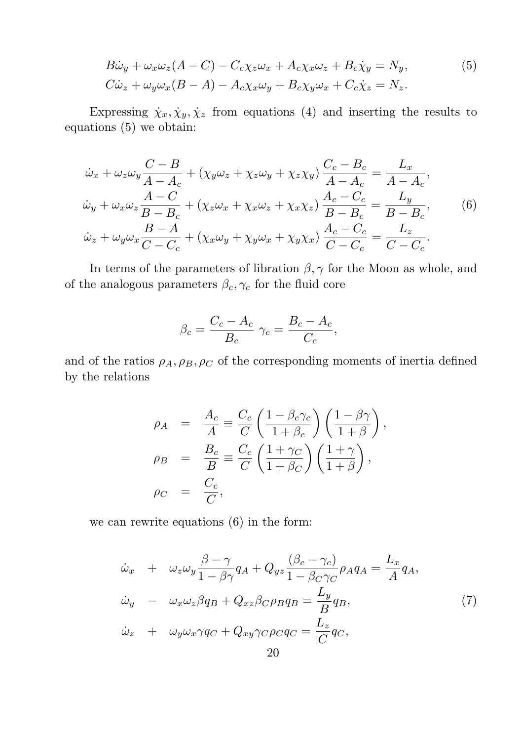$$
B\dot{\omega}_y + \omega_x \omega_z (A - C) - C_c \chi_z \omega_x + A_c \chi_x \omega_z + B_c \dot{\chi}_y = N_y,
$$
  
\n
$$
C\dot{\omega}_z + \omega_y \omega_x (B - A) - A_c \chi_x \omega_y + B_c \chi_y \omega_x + C_c \dot{\chi}_z = N_z.
$$
\n(5)

Expressing  $\dot{\chi}_x, \dot{\chi}_y, \dot{\chi}_z$  from equations (4) and inserting the results to equations (5) we obtain:

$$
\dot{\omega}_x + \omega_z \omega_y \frac{C - B}{A - A_c} + (\chi_y \omega_z + \chi_z \omega_y + \chi_z \chi_y) \frac{C_c - B_c}{A - A_c} = \frac{L_x}{A - A_c},
$$
  
\n
$$
\dot{\omega}_y + \omega_x \omega_z \frac{A - C}{B - B_c} + (\chi_z \omega_x + \chi_x \omega_z + \chi_x \chi_z) \frac{A_c - C_c}{B - B_c} = \frac{L_y}{B - B_c},
$$
(6)  
\n
$$
\dot{\omega}_z + \omega_y \omega_x \frac{B - A}{C - C_c} + (\chi_x \omega_y + \chi_y \omega_x + \chi_y \chi_x) \frac{A_c - C_c}{C - C_c} = \frac{L_z}{C - C_c}.
$$

In terms of the parameters of libration  $\beta$ ,  $\gamma$  for the Moon as whole, and of the analogous parameters  $\beta_c, \gamma_c$  for the fluid core

$$
\beta_c = \frac{C_c - A_c}{B_c} \gamma_c = \frac{B_c - A_c}{C_c},
$$

and of the ratios  $\rho_A$ ,  $\rho_B$ ,  $\rho_C$  of the corresponding moments of inertia defined by the relations

$$
\rho_A = \frac{A_c}{A} \equiv \frac{C_c}{C} \left( \frac{1 - \beta_c \gamma_c}{1 + \beta_c} \right) \left( \frac{1 - \beta \gamma}{1 + \beta} \right),
$$
  
\n
$$
\rho_B = \frac{B_c}{B} \equiv \frac{C_c}{C} \left( \frac{1 + \gamma_C}{1 + \beta_C} \right) \left( \frac{1 + \gamma}{1 + \beta} \right),
$$
  
\n
$$
\rho_C = \frac{C_c}{C},
$$

we can rewrite equations (6) in the form:

$$
\dot{\omega}_x + \omega_z \omega_y \frac{\beta - \gamma}{1 - \beta \gamma} q_A + Q_{yz} \frac{(\beta_c - \gamma_c)}{1 - \beta_C \gamma_C} \rho_A q_A = \frac{L_x}{A} q_A,
$$
  
\n
$$
\dot{\omega}_y - \omega_x \omega_z \beta q_B + Q_{xz} \beta_C \rho_B q_B = \frac{L_y}{B} q_B,
$$
  
\n
$$
\dot{\omega}_z + \omega_y \omega_x \gamma q_C + Q_{xy} \gamma_C \rho_C q_C = \frac{L_z}{C} q_C,
$$
\n(7)  
\n20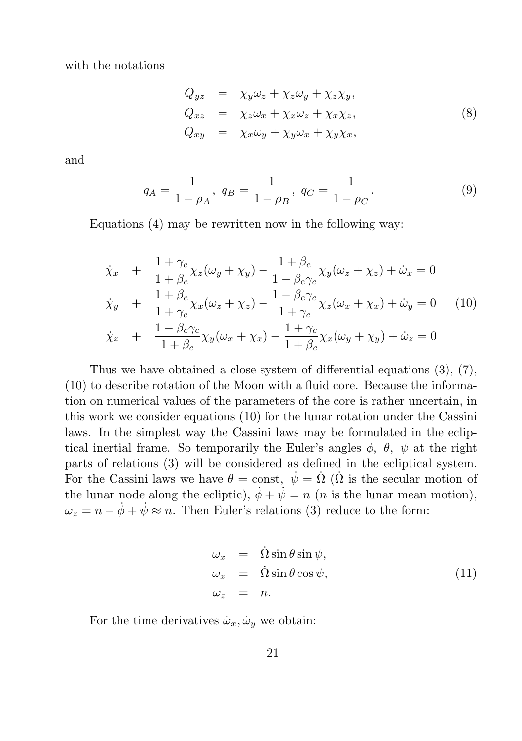with the notations

$$
Q_{yz} = \chi_y \omega_z + \chi_z \omega_y + \chi_z \chi_y,
$$
  
\n
$$
Q_{xz} = \chi_z \omega_x + \chi_x \omega_z + \chi_x \chi_z,
$$
  
\n
$$
Q_{xy} = \chi_x \omega_y + \chi_y \omega_x + \chi_y \chi_x,
$$
\n(8)

and

$$
q_A = \frac{1}{1 - \rho_A}, \ q_B = \frac{1}{1 - \rho_B}, \ q_C = \frac{1}{1 - \rho_C}.
$$
 (9)

Equations (4) may be rewritten now in the following way:

$$
\dot{\chi}_x + \frac{1+\gamma_c}{1+\beta_c} \chi_z(\omega_y + \chi_y) - \frac{1+\beta_c}{1-\beta_c \gamma_c} \chi_y(\omega_z + \chi_z) + \dot{\omega}_x = 0
$$
\n
$$
\dot{\chi}_y + \frac{1+\beta_c}{1+\gamma_c} \chi_x(\omega_z + \chi_z) - \frac{1-\beta_c \gamma_c}{1+\gamma_c} \chi_z(\omega_x + \chi_x) + \dot{\omega}_y = 0 \quad (10)
$$
\n
$$
\dot{\chi}_z + \frac{1-\beta_c \gamma_c}{1+\beta_c} \chi_y(\omega_x + \chi_x) - \frac{1+\gamma_c}{1+\beta_c} \chi_x(\omega_y + \chi_y) + \dot{\omega}_z = 0
$$

Thus we have obtained a close system of differential equations (3), (7), (10) to describe rotation of the Moon with a fluid core. Because the information on numerical values of the parameters of the core is rather uncertain, in this work we consider equations (10) for the lunar rotation under the Cassini laws. In the simplest way the Cassini laws may be formulated in the ecliptical inertial frame. So temporarily the Euler's angles  $\phi$ ,  $\theta$ ,  $\psi$  at the right parts of relations (3) will be considered as defined in the ecliptical system. For the Cassini laws we have  $\theta = \text{const}, \dot{\psi} = \dot{\Omega}$  ( $\dot{\Omega}$  is the secular motion of the lunar node along the ecliptic),  $\dot{\phi} + \dot{\psi} = n$  (*n* is the lunar mean motion),  $\omega_z = n - \dot{\phi} + \dot{\psi} \approx n$ . Then Euler's relations (3) reduce to the form:

$$
\begin{array}{rcl}\n\omega_x & = & \dot{\Omega} \sin \theta \sin \psi, \\
\omega_x & = & \dot{\Omega} \sin \theta \cos \psi, \\
\omega_z & = & n.\n\end{array} \tag{11}
$$

For the time derivatives  $\dot{\omega}_x, \dot{\omega}_y$  we obtain: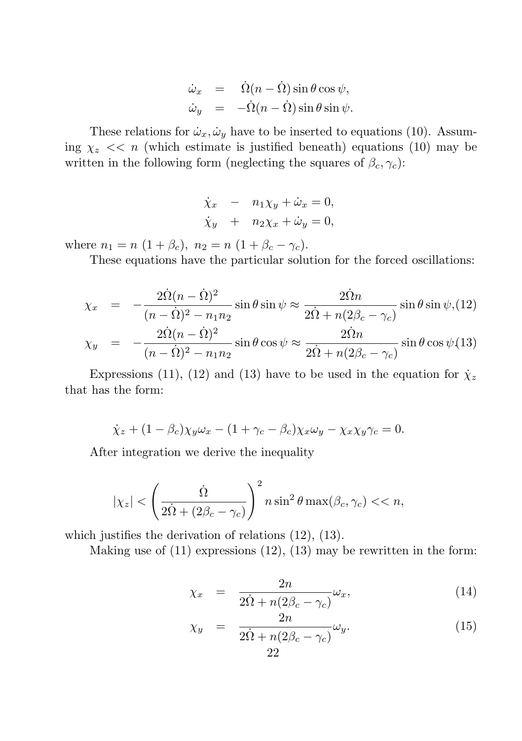$$
\dot{\omega}_x = \dot{\Omega}(n - \dot{\Omega}) \sin \theta \cos \psi, \n\dot{\omega}_y = -\dot{\Omega}(n - \dot{\Omega}) \sin \theta \sin \psi.
$$

These relations for  $\dot{\omega}_x, \dot{\omega}_y$  have to be inserted to equations (10). Assuming  $\chi_z \ll n$  (which estimate is justified beneath) equations (10) may be written in the following form (neglecting the squares of  $\beta_c, \gamma_c$ ):

$$
\dot{\chi}_x = n_1 \chi_y + \dot{\omega}_x = 0,
$$
  

$$
\dot{\chi}_y + n_2 \chi_x + \dot{\omega}_y = 0,
$$

where  $n_1 = n (1 + \beta_c), n_2 = n (1 + \beta_c - \gamma_c).$ 

These equations have the particular solution for the forced oscillations:

$$
\chi_x = -\frac{2\dot{\Omega}(n-\dot{\Omega})^2}{(n-\dot{\Omega})^2 - n_1 n_2} \sin \theta \sin \psi \approx \frac{2\dot{\Omega}n}{2\dot{\Omega} + n(2\beta_c - \gamma_c)} \sin \theta \sin \psi, (12)
$$
  

$$
\chi_y = -\frac{2\dot{\Omega}(n-\dot{\Omega})^2}{(n-\dot{\Omega})^2 - n_1 n_2} \sin \theta \cos \psi \approx \frac{2\dot{\Omega}n}{2\dot{\Omega} + n(2\beta_c - \gamma_c)} \sin \theta \cos \psi, (13)
$$

Expressions (11), (12) and (13) have to be used in the equation for  $\dot{\chi}_z$ that has the form:

$$
\dot{\chi}_z + (1 - \beta_c)\chi_y \omega_x - (1 + \gamma_c - \beta_c)\chi_x \omega_y - \chi_x \chi_y \gamma_c = 0.
$$

After integration we derive the inequality

$$
|\chi_z| < \left(\frac{\dot{\Omega}}{2\dot{\Omega} + (2\beta_c - \gamma_c)}\right)^2 n \sin^2 \theta \max(\beta_c, \gamma_c) < < n,
$$

which justifies the derivation of relations (12), (13).

Making use of  $(11)$  expressions  $(12)$ ,  $(13)$  may be rewritten in the form:

$$
\chi_x = \frac{2n}{2\dot{\Omega} + n(2\beta_c - \gamma_c)} \omega_x, \tag{14}
$$

$$
\chi_y = \frac{2n}{2\dot{\Omega} + n(2\beta_c - \gamma_c)} \omega_y.
$$
\n(15)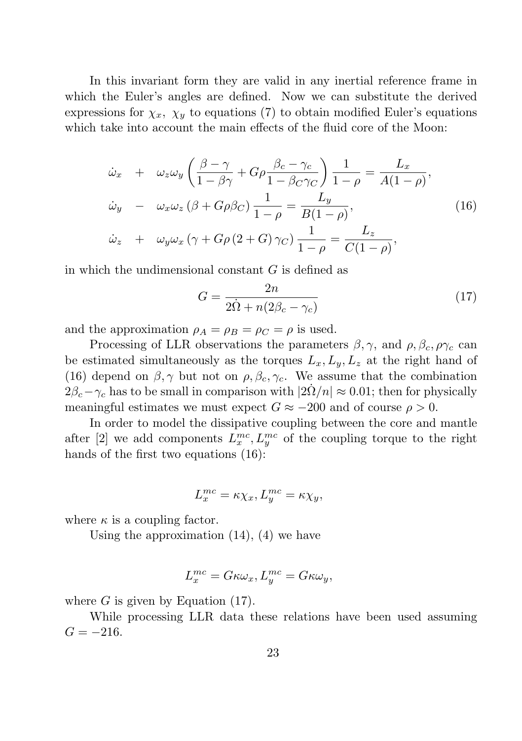In this invariant form they are valid in any inertial reference frame in which the Euler's angles are defined. Now we can substitute the derived expressions for  $\chi_x$ ,  $\chi_y$  to equations (7) to obtain modified Euler's equations which take into account the main effects of the fluid core of the Moon:

$$
\dot{\omega}_x + \omega_z \omega_y \left( \frac{\beta - \gamma}{1 - \beta \gamma} + G \rho \frac{\beta_c - \gamma_c}{1 - \beta_C \gamma_C} \right) \frac{1}{1 - \rho} = \frac{L_x}{A(1 - \rho)},
$$
  
\n
$$
\dot{\omega}_y - \omega_x \omega_z (\beta + G \rho \beta_C) \frac{1}{1 - \rho} = \frac{L_y}{B(1 - \rho)},
$$
  
\n
$$
\dot{\omega}_z + \omega_y \omega_x (\gamma + G \rho (2 + G) \gamma_C) \frac{1}{1 - \rho} = \frac{L_z}{C(1 - \rho)},
$$
\n(16)

in which the undimensional constant  $G$  is defined as

$$
G = \frac{2n}{2\dot{\Omega} + n(2\beta_c - \gamma_c)}\tag{17}
$$

and the approximation  $\rho_A = \rho_B = \rho_C = \rho$  is used.

Processing of LLR observations the parameters  $\beta$ ,  $\gamma$ , and  $\rho$ ,  $\beta_c$ ,  $\rho\gamma_c$  can be estimated simultaneously as the torques  $L_x, L_y, L_z$  at the right hand of (16) depend on  $\beta$ ,  $\gamma$  but not on  $\rho$ ,  $\beta_c$ ,  $\gamma_c$ . We assume that the combination  $2\beta_c-\gamma_c$  has to be small in comparison with  $|2\dot{\Omega}/n| \approx 0.01$ ; then for physically meaningful estimates we must expect  $G \approx -200$  and of course  $\rho > 0$ .

In order to model the dissipative coupling between the core and mantle after [2] we add components  $L_x^{mc}, L_y^{mc}$  of the coupling torque to the right hands of the first two equations  $(16)$ :

$$
L_x^{mc} = \kappa \chi_x, L_y^{mc} = \kappa \chi_y,
$$

where  $\kappa$  is a coupling factor.

Using the approximation  $(14)$ ,  $(4)$  we have

$$
L_x^{mc} = G\kappa \omega_x, L_y^{mc} = G\kappa \omega_y,
$$

where  $G$  is given by Equation  $(17)$ .

While processing LLR data these relations have been used assuming  $G = -216.$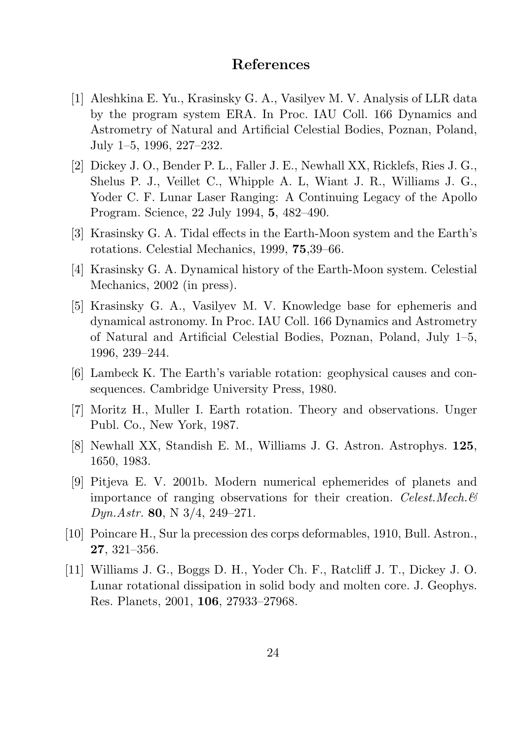#### References

- [1] Aleshkina E. Yu., Krasinsky G. A., Vasilyev M. V. Analysis of LLR data by the program system ERA. In Proc. IAU Coll. 166 Dynamics and Astrometry of Natural and Artificial Celestial Bodies, Poznan, Poland, July 1–5, 1996, 227–232.
- [2] Dickey J. O., Bender P. L., Faller J. E., Newhall XX, Ricklefs, Ries J. G., Shelus P. J., Veillet C., Whipple A. L, Wiant J. R., Williams J. G., Yoder C. F. Lunar Laser Ranging: A Continuing Legacy of the Apollo Program. Science, 22 July 1994, 5, 482–490.
- [3] Krasinsky G. A. Tidal effects in the Earth-Moon system and the Earth's rotations. Celestial Mechanics, 1999, 75,39–66.
- [4] Krasinsky G. A. Dynamical history of the Earth-Moon system. Celestial Mechanics, 2002 (in press).
- [5] Krasinsky G. A., Vasilyev M. V. Knowledge base for ephemeris and dynamical astronomy. In Proc. IAU Coll. 166 Dynamics and Astrometry of Natural and Artificial Celestial Bodies, Poznan, Poland, July 1–5, 1996, 239–244.
- [6] Lambeck K. The Earth's variable rotation: geophysical causes and consequences. Cambridge University Press, 1980.
- [7] Moritz H., Muller I. Earth rotation. Theory and observations. Unger Publ. Co., New York, 1987.
- [8] Newhall XX, Standish E. M., Williams J. G. Astron. Astrophys. 125, 1650, 1983.
- [9] Pitjeva E. V. 2001b. Modern numerical ephemerides of planets and importance of ranging observations for their creation. Celest. Mech.  $\mathcal{C}$ Dyn.Astr. 80, N 3/4, 249–271.
- [10] Poincare H., Sur la precession des corps deformables, 1910, Bull. Astron., 27, 321–356.
- [11] Williams J. G., Boggs D. H., Yoder Ch. F., Ratcliff J. T., Dickey J. O. Lunar rotational dissipation in solid body and molten core. J. Geophys. Res. Planets, 2001, 106, 27933–27968.